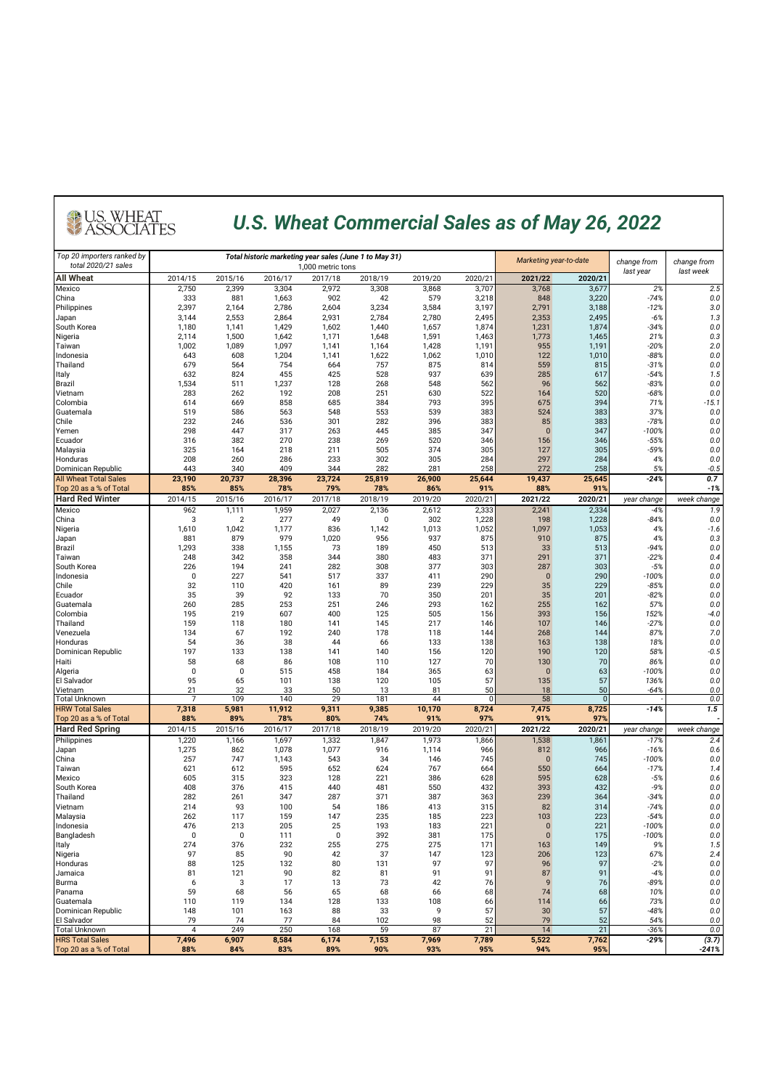#### *U.S. Wheat Commercial Sales as of May 26, 2022*

| Top 20 importers ranked by<br>total 2020/21 sales      |                |                |                | Total historic marketing year sales (June 1 to May 31) |                | Marketing year-to-date |                | change from        | change from    |                   |                |  |
|--------------------------------------------------------|----------------|----------------|----------------|--------------------------------------------------------|----------------|------------------------|----------------|--------------------|----------------|-------------------|----------------|--|
| <b>All Wheat</b>                                       | 2014/15        | 2015/16        | 2016/17        | 1,000 metric tons<br>2017/18                           | 2018/19        | 2019/20                | 2020/21        | 2021/22            | 2020/21        | last year         | last week      |  |
| Mexico                                                 | 2,750          | 2,399          | 3,304          | 2,972                                                  | 3,308          | 3,868                  | 3,707          | 3,768              | 3,677          | 2%                | 2.5            |  |
| China                                                  | 333            | 881            | 1,663          | 902                                                    | 42             | 579                    | 3,218          | 848                | 3,220          | $-74%$            | 0.0            |  |
| Philippines                                            | 2,397<br>3,144 | 2,164<br>2,553 | 2,786<br>2,864 | 2,604<br>2,931                                         | 3,234<br>2,784 | 3,584<br>2,780         | 3,197<br>2,495 | 2,791              | 3,188<br>2,495 | $-12%$<br>$-6%$   | 3.0            |  |
| Japan<br>South Korea                                   | 1,180          | 1,141          | 1,429          | 1,602                                                  | 1,440          | 1,657                  | 1,874          | 2,353<br>1,231     | 1,874          | $-34%$            | 1.3<br>$0.0\,$ |  |
| Nigeria                                                | 2,114          | 1,500          | 1,642          | 1,171                                                  | 1,648          | 1,591                  | 1,463          | 1,773              | 1,465          | 21%               | 0.3            |  |
| Taiwan                                                 | 1,002          | 1,089          | 1,097          | 1,141                                                  | 1,164          | 1,428                  | 1,191          | 955                | 1,191          | $-20%$            | 2.0            |  |
| Indonesia                                              | 643            | 608            | 1,204          | 1,141                                                  | 1,622          | 1,062                  | 1,010          | 122                | 1,010          | $-88%$            | 0.0            |  |
| Thailand<br>Italy                                      | 679<br>632     | 564<br>824     | 754<br>455     | 664<br>425                                             | 757<br>528     | 875<br>937             | 814<br>639     | 559<br>285         | 815<br>617     | $-31%$<br>$-54%$  | 0.0<br>1.5     |  |
| <b>Brazil</b>                                          | 1,534          | 511            | 1,237          | 128                                                    | 268            | 548                    | 562            | 96                 | 562            | $-83%$            | 0.0            |  |
| Vietnam                                                | 283            | 262            | 192            | 208                                                    | 251            | 630                    | 522            | 164                | 520            | $-68%$            | 0.0            |  |
| Colombia                                               | 614            | 669            | 858            | 685                                                    | 384            | 793                    | 395            | 675                | 394            | 71%               | -15.1          |  |
| Guatemala                                              | 519            | 586            | 563            | 548                                                    | 553            | 539                    | 383            | 524                | 383            | 37%               | 0.0            |  |
| Chile<br>Yemen                                         | 232<br>298     | 246<br>447     | 536<br>317     | 301<br>263                                             | 282<br>445     | 396<br>385             | 383<br>347     | 85<br>$\mathbf{0}$ | 383<br>347     | $-78%$<br>$-100%$ | 0.0<br>0.0     |  |
| Ecuador                                                | 316            | 382            | 270            | 238                                                    | 269            | 520                    | 346            | 156                | 346            | -55%              | 0.0            |  |
| Malaysia                                               | 325            | 164            | 218            | 211                                                    | 505            | 374                    | 305            | 127                | 305            | -59%              | 0.0            |  |
| Honduras                                               | 208            | 260            | 286            | 233                                                    | 302            | 305                    | 284            | 297                | 284            | 4%                | 0.0            |  |
| Dominican Republic                                     | 443            | 340            | 409            | 344                                                    | 282            | 281                    | 258            | 272                | 258            | 5%                | $-0.5$         |  |
| <b>All Wheat Total Sales</b><br>Top 20 as a % of Total | 23,190<br>85%  | 20,737<br>85%  | 28,396<br>78%  | 23,724<br>79%                                          | 25,819<br>78%  | 26,900<br>86%          | 25,644<br>91%  | 19,437<br>88%      | 25,645<br>91%  | $-24%$            | 0.7<br>$-1%$   |  |
| <b>Hard Red Winter</b>                                 | 2014/15        | 2015/16        | 2016/17        | 2017/18                                                | 2018/19        | 2019/20                | 2020/21        | 2021/22            | 2020/21        | year change       | week change    |  |
| Mexico                                                 | 962            | 1,111          | 1,959          | 2,027                                                  | 2,136          | 2,612                  | 2,333          | 2,241              | 2,334          | $-4%$             | 1.9            |  |
| China                                                  | 3              | 2              | 277            | 49                                                     | 0              | 302                    | 1,228          | 198                | 1,228          | $-84%$            | 0.0            |  |
| Nigeria                                                | 1,610          | 1,042          | 1,177          | 836                                                    | 1,142          | 1,013                  | 1,052          | 1,097              | 1,053          | 4%                | $-1.6$         |  |
| Japan<br>Brazil                                        | 881<br>1,293   | 879<br>338     | 979<br>1,155   | 1,020<br>73                                            | 956<br>189     | 937<br>450             | 875<br>513     | 910<br>33          | 875<br>513     | 4%<br>$-94%$      | 0.3<br>0.0     |  |
| Taiwan                                                 | 248            | 342            | 358            | 344                                                    | 380            | 483                    | 371            | 291                | 371            | $-22%$            | 0.4            |  |
| South Korea                                            | 226            | 194            | 241            | 282                                                    | 308            | 377                    | 303            | 287                | 303            | $-5%$             | 0.0            |  |
| Indonesia                                              | $\mathbf 0$    | 227            | 541            | 517                                                    | 337            | 411                    | 290            | $\mathbf 0$        | 290            | $-100%$           | 0.0            |  |
| Chile                                                  | 32             | 110            | 420            | 161                                                    | 89             | 239                    | 229            | 35                 | 229            | $-85%$            | 0.0            |  |
| Ecuador<br>Guatemala                                   | 35<br>260      | 39<br>285      | 92<br>253      | 133<br>251                                             | 70<br>246      | 350<br>293             | 201<br>162     | 35<br>255          | 201<br>162     | $-82%$<br>57%     | 0.0<br>0.0     |  |
| Colombia                                               | 195            | 219            | 607            | 400                                                    | 125            | 505                    | 156            | 393                | 156            | 152%              | $-4.0$         |  |
| Thailand                                               | 159            | 118            | 180            | 141                                                    | 145            | 217                    | 146            | 107                | 146            | $-27%$            | 0.0            |  |
| Venezuela                                              | 134            | 67             | 192            | 240                                                    | 178            | 118                    | 144            | 268                | 144            | 87%               | 7.0            |  |
| Honduras                                               | 54             | 36             | 38             | 44                                                     | 66             | 133                    | 138            | 163                | 138            | 18%               | 0.0            |  |
| Dominican Republic<br>Haiti                            | 197<br>58      | 133<br>68      | 138<br>86      | 141<br>108                                             | 140<br>110     | 156<br>127             | 120<br>70      | 190<br>130         | 120<br>70      | 58%<br>86%        | $-0.5$<br>0.0  |  |
| Algeria                                                | 0              | 0              | 515            | 458                                                    | 184            | 365                    | 63             | $\mathbf{0}$       | 63             | $-100%$           | 0.0            |  |
| El Salvador                                            | 95             | 65             | 101            | 138                                                    | 120            | 105                    | 57             | 135                | 57             | 136%              | 0.0            |  |
| Vietnam                                                | 21             | 32             | 33             | 50                                                     | 13             | 81                     | 50             | 18                 | 50             | $-64%$            | 0.0            |  |
| <b>Total Unknown</b>                                   | 7              | 109            | 140            | 29                                                     | 181            | 44                     | 0              | 58                 | $\mathbf{0}$   |                   | 0.0            |  |
| <b>HRW Total Sales</b><br>Top 20 as a % of Total       | 7,318<br>88%   | 5,981<br>89%   | 11,912<br>78%  | 9,311<br>80%                                           | 9,385<br>74%   | 10,170<br>91%          | 8,724<br>97%   | 7,475<br>91%       | 8,725<br>97%   | $-14%$            | 1.5            |  |
| <b>Hard Red Spring</b>                                 | 2014/15        | 2015/16        | 2016/17        | 2017/18                                                | 2018/19        | 2019/20                | 2020/21        | 2021/22            | 2020/21        | year change       | week change    |  |
| Philippines                                            | 1,220          | 1,166          | 1,697          | 1,332                                                  | 1,847          | 1,973                  | 1,866          | 1,538              | 1,861          | $-17%$            | 2.4            |  |
| Japan                                                  | 1,275          | 862            | 1,078          | 1,077                                                  | 916            | 1,114                  | 966            | 812                | 966            | $-16%$            | 0.6            |  |
| China                                                  | 257            | 747            | 1,143          | 543                                                    | 34             | 146                    | 745            | $\mathbf{0}$       | 745            | -100%             | 0.0            |  |
| Taiwan<br>Mexico                                       | 621<br>605     | 612            | 595<br>323     | 652<br>128                                             | 624            | 767                    | 664            | 550                | 664<br>628     | $-17%$            | 1.4            |  |
| South Korea                                            | 408            | 315<br>376     | 415            | 440                                                    | 221<br>481     | 386<br>550             | 628<br>432     | 595<br>393         | 432            | $-5%$<br>$-9%$    | 0.6<br>0.0     |  |
| Thailand                                               | 282            | 261            | 347            | 287                                                    | 371            | 387                    | 363            | 239                | 364            | $-34%$            | 0.0            |  |
| Vietnam                                                | 214            | 93             | 100            | 54                                                     | 186            | 413                    | 315            | 82                 | 314            | $-74%$            | 0.0            |  |
| Malaysia                                               | 262            | 117            | 159            | 147                                                    | 235            | 185                    | 223            | 103                | 223            | $-54%$            | 0.0            |  |
| Indonesia                                              | 476            | 213            | 205            | 25<br>$\pmb{0}$                                        | 193            | 183                    | 221            | $\Omega$           | 221            | -100%             | 0.0            |  |
| Bangladesh<br>Italy                                    | 0<br>274       | 0<br>376       | 111<br>232     | 255                                                    | 392<br>275     | 381<br>275             | 175<br>171     | $\pmb{0}$<br>163   | 175<br>149     | $-100%$<br>9%     | $0.0\,$<br>1.5 |  |
| Nigeria                                                | 97             | 85             | 90             | 42                                                     | 37             | 147                    | 123            | 206                | 123            | 67%               | 2.4            |  |
| Honduras                                               | 88             | 125            | 132            | 80                                                     | 131            | 97                     | 97             | 96                 | 97             | $-2%$             | 0.0            |  |
| Jamaica                                                | 81             | 121            | 90             | 82                                                     | 81             | 91                     | 91             | 87                 | 91             | $-4%$             | 0.0            |  |
| Burma                                                  | 6              | 3              | 17             | 13                                                     | 73             | 42                     | 76             | 9                  | 76             | -89%              | 0.0            |  |
| Panama<br>Guatemala                                    | 59<br>110      | 68<br>119      | 56<br>134      | 65<br>128                                              | 68<br>133      | 66<br>108              | 68<br>66       | 74<br>114          | 68<br>66       | 10%<br>73%        | 0.0<br>0.0     |  |
| Dominican Republic                                     | 148            | 101            | 163            | 88                                                     | 33             | 9                      | 57             | 30                 | 57             | $-48%$            | 0.0            |  |
| El Salvador                                            | 79             | 74             | 77             | 84                                                     | 102            | 98                     | 52             | 79                 | 52             | 54%               | 0.0            |  |
| <b>Total Unknown</b>                                   | 4              | 249            | 250            | 168                                                    | 59             | 87                     | 21             | 14                 | 21             | $-36%$            | 0.0            |  |
| <b>HRS Total Sales</b>                                 | 7,496          | 6,907          | 8,584          | 6,174                                                  | 7,153          | 7,969                  | 7,789          | 5,522              | 7,762          | $-29%$            | (3.7)          |  |
| Top 20 as a % of Total                                 | 88%            | 84%            | 83%            | 89%                                                    | 90%            | 93%                    | 95%            | 94%                | 95%            |                   | -241%          |  |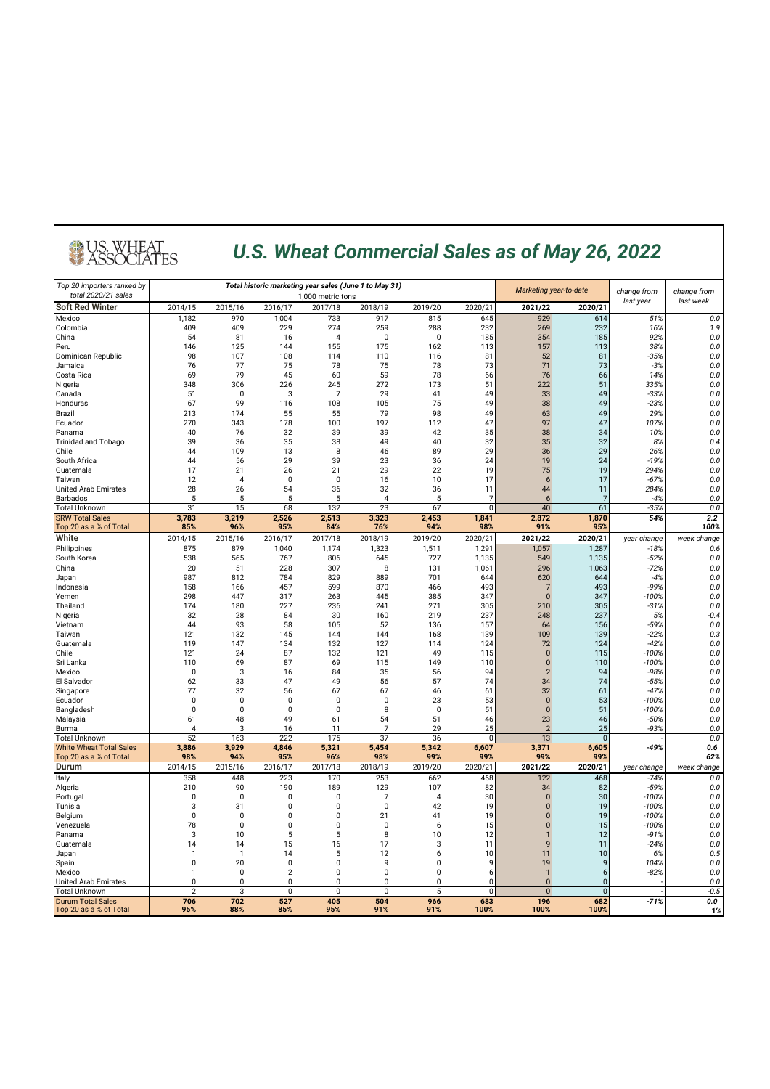### *U.S. Wheat Commercial Sales as of May 26, 2022*

| Top 20 importers ranked by<br>total 2020/21 sales | Total historic marketing year sales (June 1 to May 31)<br>1,000 metric tons |                |                               |                             |                            |                 |                  | Marketing year-to-date      |                     | change from       | change from        |  |
|---------------------------------------------------|-----------------------------------------------------------------------------|----------------|-------------------------------|-----------------------------|----------------------------|-----------------|------------------|-----------------------------|---------------------|-------------------|--------------------|--|
| <b>Soft Red Winter</b>                            | 2014/15                                                                     | 2015/16        | 2016/17                       | 2017/18                     | 2018/19                    | 2019/20         | 2020/21          | 2021/22                     | 2020/21             | last year         | last week          |  |
| Mexico                                            | 1,182                                                                       | 970            | 1,004                         | 733                         | 917                        | 815             | 645              | 929                         | 614                 | 51%               | 0.0                |  |
| Colombia                                          | 409                                                                         | 409            | 229                           | 274                         | 259                        | 288             | 232              | 269                         | 232                 | 16%               | 1.9                |  |
| China                                             | 54                                                                          | 81             | 16                            | $\overline{4}$              | 0                          | 0               | 185              | 354                         | 185                 | 92%               | 0.0                |  |
| Peru                                              | 146                                                                         | 125            | 144                           | 155                         | 175                        | 162             | 113              | 157                         | 113                 | 38%               | 0.0                |  |
| Dominican Republic                                | 98                                                                          | 107            | 108                           | 114                         | 110                        | 116             | 81               | 52                          | 81                  | $-35%$            | 0.0                |  |
| Jamaica                                           | 76                                                                          | 77             | 75                            | 78                          | 75                         | 78              | 73               | 71                          | 73                  | $-3%$             | 0.0                |  |
| Costa Rica<br>Nigeria                             | 69<br>348                                                                   | 79<br>306      | 45<br>226                     | 60<br>245                   | 59<br>272                  | 78<br>173       | 66<br>51         | 76<br>222                   | 66<br>51            | 14%<br>335%       | 0.0<br>0.0         |  |
| Canada                                            | 51                                                                          | 0              | 3                             | 7                           | 29                         | 41              | 49               | 33                          | 49                  | $-33%$            | 0.0                |  |
| Honduras                                          | 67                                                                          | 99             | 116                           | 108                         | 105                        | 75              | 49               | 38                          | 49                  | $-23%$            | 0.0                |  |
| <b>Brazil</b>                                     | 213                                                                         | 174            | 55                            | 55                          | 79                         | 98              | 49               | 63                          | 49                  | 29%               | 0.0                |  |
| Ecuador                                           | 270                                                                         | 343            | 178                           | 100                         | 197                        | 112             | 47               | 97                          | 47                  | 107%              | 0.0                |  |
| Panama                                            | 40                                                                          | 76             | 32                            | 39                          | 39                         | 42              | 35               | 38                          | 34                  | 10%               | 0.0                |  |
| <b>Trinidad and Tobago</b>                        | 39                                                                          | 36             | 35                            | 38                          | 49                         | 40              | 32               | 35                          | 32                  | 8%                | 0.4                |  |
| Chile<br>South Africa                             | 44<br>44                                                                    | 109<br>56      | 13<br>29                      | 8<br>39                     | 46<br>23                   | 89<br>36        | 29<br>24         | 36<br>19                    | 29<br>24            | 26%<br>$-19%$     | 0.0<br>0.0         |  |
| Guatemala                                         | 17                                                                          | 21             | 26                            | 21                          | 29                         | 22              | 19               | 75                          | 19                  | 294%              | 0.0                |  |
| Taiwan                                            | 12                                                                          | 4              | 0                             | $\mathbf 0$                 | 16                         | 10              | 17               | $\boldsymbol{6}$            | 17                  | $-67%$            | 0.0                |  |
| <b>United Arab Emirates</b>                       | 28                                                                          | 26             | 54                            | 36                          | 32                         | 36              | 11               | 44                          | 11                  | 284%              | 0.0                |  |
| <b>Barbados</b>                                   | 5                                                                           | 5              | 5                             | 5                           | $\overline{4}$             | 5               | -7               | 6                           | 7                   | $-4%$             | 0.0                |  |
| <b>Total Unknown</b>                              | 31                                                                          | 15             | 68                            | 132                         | 23                         | 67              | $\overline{0}$   | 40                          | 61                  | $-35%$            | 0.0                |  |
| <b>SRW Total Sales</b>                            | 3,783                                                                       | 3,219          | 2,526                         | 2,513                       | 3,323                      | 2,453           | 1,841            | 2,872                       | 1,870               | 54%               | 2.2                |  |
| Top 20 as a % of Total                            | 85%                                                                         | 96%            | 95%                           | 84%                         | 76%                        | 94%             | 98%              | 91%                         | 95%                 |                   | 100%               |  |
| <b>White</b>                                      | 2014/15<br>875                                                              | 2015/16<br>879 | 2016/17<br>1,040              | 2017/18<br>1,174            | 2018/19                    | 2019/20         | 2020/21<br>1,291 | 2021/22<br>1,057            | 2020/21<br>1,287    | year change       | week change<br>0.6 |  |
| Philippines<br>South Korea                        | 538                                                                         | 565            | 767                           | 806                         | 1,323<br>645               | 1,511<br>727    | 1,135            | 549                         | 1,135               | $-18%$<br>$-52%$  | 0.0                |  |
| China                                             | 20                                                                          | 51             | 228                           | 307                         | 8                          | 131             | 1,061            | 296                         | 1,063               | $-72%$            | 0.0                |  |
| Japan                                             | 987                                                                         | 812            | 784                           | 829                         | 889                        | 701             | 644              | 620                         | 644                 | $-4%$             | 0.0                |  |
| Indonesia                                         | 158                                                                         | 166            | 457                           | 599                         | 870                        | 466             | 493              | $\overline{7}$              | 493                 | $-99%$            | 0.0                |  |
| Yemen                                             | 298                                                                         | 447            | 317                           | 263                         | 445                        | 385             | 347              | $\mathbf{0}$                | 347                 | $-100%$           | 0.0                |  |
| Thailand                                          | 174                                                                         | 180            | 227                           | 236                         | 241                        | 271             | 305              | 210                         | 305                 | $-31%$            | 0.0                |  |
| Nigeria                                           | 32                                                                          | 28             | 84                            | 30                          | 160                        | 219             | 237              | 248                         | 237                 | 5%                | $-0.4$             |  |
| Vietnam                                           | 44                                                                          | 93<br>132      | 58<br>145                     | 105<br>144                  | 52<br>144                  | 136<br>168      | 157              | 64<br>109                   | 156<br>139          | $-59%$            | 0.0                |  |
| Taiwan<br>Guatemala                               | 121<br>119                                                                  | 147            | 134                           | 132                         | 127                        | 114             | 139<br>124       | 72                          | 124                 | $-22%$<br>$-42%$  | 0.3<br>0.0         |  |
| Chile                                             | 121                                                                         | 24             | 87                            | 132                         | 121                        | 49              | 115              | $\mathbf{0}$                | 115                 | $-100%$           | 0.0                |  |
| Sri Lanka                                         | 110                                                                         | 69             | 87                            | 69                          | 115                        | 149             | 110              | $\mathbf 0$                 | 110                 | $-100%$           | 0.0                |  |
| Mexico                                            | 0                                                                           | 3              | 16                            | 84                          | 35                         | 56              | 94               | $\overline{2}$              | 94                  | $-98%$            | 0.0                |  |
| El Salvador                                       | 62                                                                          | 33             | 47                            | 49                          | 56                         | 57              | 74               | 34                          | 74                  | $-55%$            | 0.0                |  |
| Singapore                                         | 77                                                                          | 32             | 56                            | 67                          | 67                         | 46              | 61               | 32                          | 61                  | $-47%$            | 0.0                |  |
| Ecuador                                           | 0                                                                           | $\pmb{0}$      | $\mathbf 0$                   | $\mathbf{0}$                | 0                          | 23              | 53               | $\mathbf 0$                 | 53                  | $-100%$           | 0.0                |  |
| Bangladesh<br>Malaysia                            | 0<br>61                                                                     | 0<br>48        | $\mathbf 0$<br>49             | $\pmb{0}$<br>61             | 8<br>54                    | $\pmb{0}$<br>51 | 51<br>46         | $\mathbf 0$<br>23           | 51<br>46            | $-100%$<br>$-50%$ | 0.0<br>0.0         |  |
| Burma                                             | $\overline{4}$                                                              | 3              | 16                            | 11                          | 7                          | 29              | 25               | $\overline{2}$              | 25                  | $-93%$            | 0.0                |  |
| <b>Total Unknown</b>                              | 52                                                                          | 163            | 222                           | 175                         | 37                         | 36              | $\mathbf 0$      | 13                          | $\mathbf{0}$        |                   | 0.0                |  |
| <b>White Wheat Total Sales</b>                    | 3,886                                                                       | 3,929          | 4,846                         | 5,321                       | 5,454                      | 5,342           | 6,607            | 3,371                       | 6,605               | -49%              | 0.6                |  |
| Top 20 as a % of Total                            | 98%                                                                         | 94%            | 95%                           | 96%                         | 98%                        | 99%             | 99%              | 99%                         | 99%                 |                   | 62%                |  |
| <b>Durum</b>                                      | 2014/15                                                                     | 2015/16        | 2016/17                       | 2017/18                     | 2018/19                    | 2019/20         | 2020/21          | 2021/22                     | 2020/21             | year change       | week change        |  |
| Italy                                             | 358                                                                         | 448            | 223                           | 170                         | 253                        | 662             | 468              | 122                         | 468                 | $-74%$            | 0.0                |  |
| Algeria                                           | 210<br>0                                                                    | 90<br>0        | 190<br>0                      | 189<br>0                    | 129<br>7                   | 107<br>4        | 82<br>30         | 34<br>$\mathbf 0$           | 82<br>30            | $-59%$<br>$-100%$ | 0.0<br>0.0         |  |
| Portugal<br>Tunisia                               | 3                                                                           | 31             | 0                             | 0                           | $\mathbf 0$                | 42              | 19               | $\bf{0}$                    | 19                  | $-100%$           | 0.0                |  |
| Belgium                                           | $\mathbf 0$                                                                 | 0              | $\mathbf 0$                   | 0                           | 21                         | 41              | 19               | $\pmb{0}$                   | 19                  | $-100%$           | 0.0                |  |
| Venezuela                                         | 78                                                                          | 0              | $\mathbf{0}$                  | $\mathbf{0}$                | 0                          | 6               | 15               | $\mathbf{0}$                | 15                  | $-100%$           | 0.0                |  |
| Panama                                            | 3                                                                           | 10             | 5                             | 5                           | 8                          | 10              | 12               | $\mathbf{1}$                | 12                  | $-91%$            | 0.0                |  |
| Guatemala                                         | 14                                                                          | 14             | 15                            | 16                          | 17                         | 3               | 11               | 9                           | 11                  | $-24%$            | 0.0                |  |
| Japan                                             | $\mathbf{1}$                                                                | $\overline{1}$ | 14                            | 5                           | 12                         | 6               | 10               | 11                          | 10                  | 6%                | 0.5                |  |
| Spain                                             | 0                                                                           | 20             | $\mathbf 0$                   | $\pmb{0}$                   | 9                          | 0               | 9                | 19                          | 9                   | 104%              | 0.0                |  |
| Mexico<br><b>United Arab Emirates</b>             | $\mathbf{1}$<br>$\mathbf 0$                                                 | 0<br>0         | $\overline{2}$<br>$\mathbf 0$ | $\mathbf 0$<br>$\mathbf{0}$ | $\mathbf 0$<br>$\mathbf 0$ | 0<br>0          | 6<br>O           | $\mathbf{1}$<br>$\mathbf 0$ | 6<br>$\overline{0}$ | $-82%$            | 0.0<br>0.0         |  |
| <b>Total Unknown</b>                              | $\overline{2}$                                                              | 3              | $\mathbf{0}$                  | 0                           | 0                          | 5               | $\mathbf 0$      | $\mathbf{0}$                | $\mathbf 0$         |                   | $-0.5$             |  |
|                                                   | 706                                                                         | 702            | 527                           | 405                         | 504                        | 966             | 683              | 196                         | 682                 | $-71%$            | 0.0                |  |
| Durum Total Sales<br>Top 20 as a % of Total       | 95%                                                                         | 88%            | 85%                           | 95%                         | 91%                        | 91%             | 100%             | 100%                        | 100%                |                   | 1%                 |  |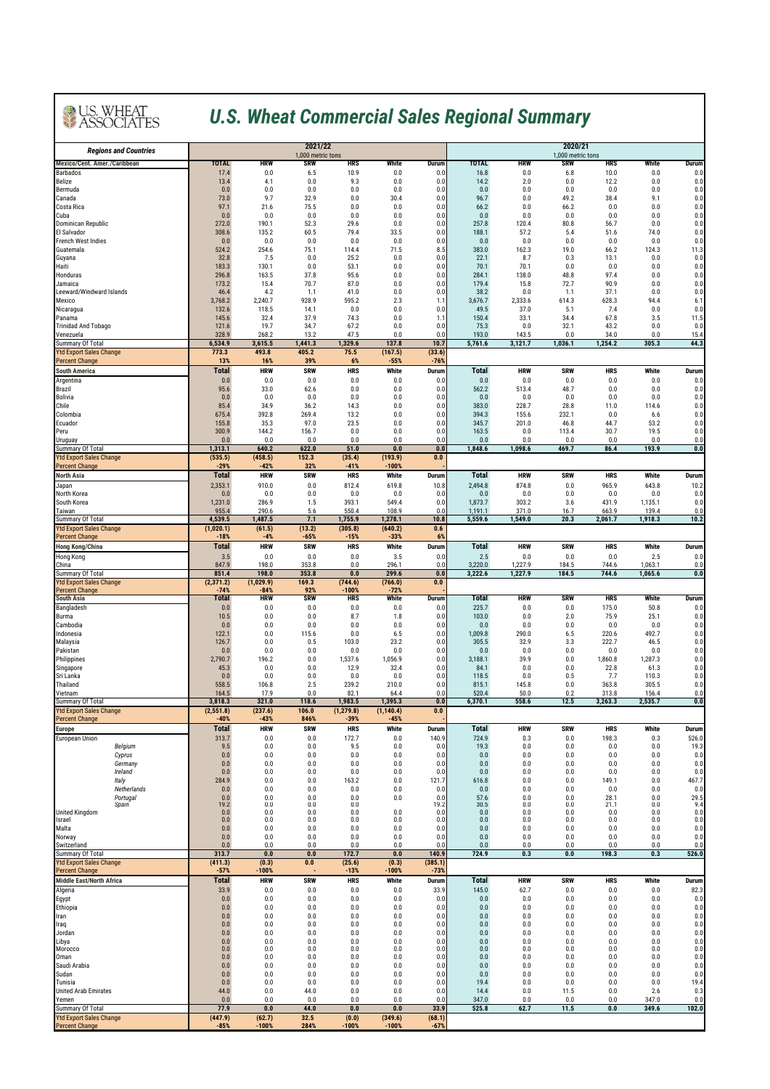### *U.S. Wheat Commercial Sales Regional Summary*

| <b>Regions and Countries</b>                            |                        | 2021/22<br>1,000 metric tons |                      |                       |                       |                   | 2020/21<br>1,000 metric tons |                    |               |                  |                  |               |  |
|---------------------------------------------------------|------------------------|------------------------------|----------------------|-----------------------|-----------------------|-------------------|------------------------------|--------------------|---------------|------------------|------------------|---------------|--|
| <b>Mexico/Cent. Amer./Caribbean</b>                     | <b>TOTAL</b>           | HRW                          | SRW                  | HRS                   | White                 | Durum             | <b>TOTAL</b>                 | HRW                | SRW           | HRS              | White            | Durum         |  |
| <b>Barbados</b><br>Belize                               | 17.4<br>13.4           | 0.0<br>4.1                   | 6.5<br>0.0           | 10.9<br>9.3           | 0.0<br>0.0            | 0.0<br>0.0        | 16.8<br>14.2                 | 0.0<br>2.0         | 6.8<br>0.0    | 10.0<br>12.2     | 0.0<br>0.0       | 0.0<br>0.0    |  |
| Bermuda                                                 | 0.0                    | 0.0                          | 0.0                  | 0.0                   | 0.0                   | 0.0               | 0.0                          | 0.0                | 0.0           | 0.0              | 0.0              | 0.0           |  |
| Canada<br>Costa Rica                                    | 73.0<br>97.1           | 9.7<br>21.6                  | 32.9<br>75.5         | 0.0<br>0.0            | 30.4<br>0.0           | 0.0<br>0.0        | 96.7<br>66.2                 | 0.0<br>0.0         | 49.2<br>66.2  | 38.4<br>0.0      | 9.1<br>0.0       | 0.0<br>0.0    |  |
| Cuba                                                    | 0.0                    | 0.0                          | 0.0                  | 0.0                   | 0.0                   | 0.0               | 0.0                          | 0.0                | 0.0           | 0.0              | 0.0              | 0.0           |  |
| <b>Dominican Republic</b><br>El Salvador                | 272.0<br>308.6         | 190.1<br>135.2               | 52.3<br>60.5         | 29.6<br>79.4          | 0.0<br>33.5           | 0.0<br>0.0        | 257.8<br>188.1               | 120.4<br>57.2      | 80.8<br>5.4   | 56.7<br>51.6     | 0.0<br>74.0      | 0.0<br>0.0    |  |
| <b>French West Indies</b>                               | 0.0                    | 0.0                          | 0.0                  | 0.0                   | 0.0                   | 0.0               | 0.0                          | 0.0                | 0.0           | 0.0              | 0.0              | 0.0           |  |
| Guatemala<br>Guyana                                     | 524.2<br>32.8          | 254.6<br>7.5                 | 75.1<br>0.0          | 114.4<br>25.2         | 71.5<br>0.0           | 8.5<br>0.0        | 383.0<br>22.1                | 162.3<br>8.7       | 19.0<br>0.3   | 66.2<br>13.1     | 124.3<br>0.0     | 11.3<br>0.0   |  |
| Haiti                                                   | 183.3                  | 130.1                        | 0.0                  | 53.1                  | 0.0                   | 0.0               | 70.1                         | 70.1               | 0.0           | 0.0              | 0.0              | 0.0           |  |
| Honduras<br>Jamaica                                     | 296.8<br>173.2         | 163.5<br>15.4                | 37.8<br>70.7         | 95.6<br>87.0          | 0.0<br>0.0            | 0.0<br>0.0        | 284.1<br>179.4               | 138.0<br>15.8      | 48.8<br>72.7  | 97.4<br>90.9     | 0.0<br>0.0       | 0.0<br>0.0    |  |
| Leeward/Windward Islands                                | 46.4                   | 4.2                          | 1.1                  | 41.0                  | 0.0                   | 0.0               | 38.2                         | 0.0                | 1.1           | 37.1             | 0.0              | 0.0           |  |
| Mexico<br>Nicaragua                                     | 3,768.2<br>132.6       | 2,240.7<br>118.5             | 928.9<br>14.1        | 595.2<br>0.0          | 2.3<br>0.0            | 1.1<br>0.0        | 3,676.7<br>49.5              | 2,333.6<br>37.0    | 614.3<br>5.1  | 628.3<br>7.4     | 94.4<br>0.0      | 6.1<br>0.0    |  |
| Panama                                                  | 145.6                  | 32.4                         | 37.9                 | 74.3                  | 0.0                   | 1.1               | 150.4                        | 33.1               | 34.4          | 67.8             | 3.5              | 11.5          |  |
| <b>Trinidad And Tobago</b>                              | 121.6<br>328.9         | 19.7<br>268.2                | 34.7<br>13.2         | 67.2<br>47.5          | 0.0<br>0.0            | 0.0<br>0.0        | 75.3<br>193.0                | 0.0<br>143.5       | 32.1<br>0.0   | 43.2<br>34.0     | 0.0<br>0.0       | 0.0<br>15.4   |  |
| Venezuela<br>Summary Of Total                           | 6,534.9                | 3,615.5                      | 1,441.3              | 1,329.6               | 137.8                 | 10.7              | 5,761.6                      | 3,121.7            | 1,036.1       | 1,254.2          | 305.3            | 44.3          |  |
| <b>Ytd Export Sales Change</b>                          | 773.3                  | 493.8                        | 405.2                | 75.5                  | (167.5)               | (33.6)            |                              |                    |               |                  |                  |               |  |
| <b>Percent Change</b><br><b>South America</b>           | 13%<br><b>Total</b>    | 16%<br><b>HRW</b>            | 39%<br><b>SRW</b>    | 6%<br><b>HRS</b>      | $-55%$<br>White       | $-76%$<br>Durum   | <b>Total</b>                 | <b>HRW</b>         | <b>SRW</b>    | <b>HRS</b>       | White            | Durum         |  |
| Argentina                                               | 0.0                    | 0.0                          | 0.0                  | 0.0                   | 0.0                   | 0.0               | 0.0                          | 0.0                | 0.0           | 0.0              | 0.0              | 0.0           |  |
| Brazil<br>Bolivia                                       | 95.6<br>0.0            | 33.0<br>0.0                  | 62.6<br>0.0          | 0.0<br>0.0            | 0.0<br>0.0            | 0.0<br>0.0        | 562.2<br>0.0                 | 513.4<br>0.0       | 48.7<br>0.0   | 0.0<br>0.0       | 0.0<br>0.0       | 0.0<br>0.0    |  |
| Chile                                                   | 85.4                   | 34.9                         | 36.2                 | 14.3                  | 0.0                   | 0.0               | 383.0                        | 228.7              | 28.8          | 11.0             | 114.6            | 0.0           |  |
| Colombia                                                | 675.4<br>155.8         | 392.8                        | 269.4<br>97.0        | 13.2<br>23.5          | 0.0<br>0.0            | 0.0<br>0.0        | 394.3<br>345.7               | 155.6<br>201.0     | 232.1         | 0.0              | 6.6              | 0.0<br>0.0    |  |
| Ecuador<br>Peru                                         | 300.9                  | 35.3<br>144.2                | 156.7                | 0.0                   | 0.0                   | 0.0               | 163.5                        | 0.0                | 46.8<br>113.4 | 44.7<br>30.7     | 53.2<br>19.5     | 0.0           |  |
| Uruguay                                                 | 0.0                    | 0.0                          | 0.0                  | 0.0                   | 0.0                   | 0.0               | 0.0                          | 0.0                | 0.0           | 0.0              | 0.0              | 0.0           |  |
| Summary Of Total<br><b>Ytd Export Sales Change</b>      | 1,313.1<br>(535.5)     | 640.2<br>(458.5)             | 622.0<br>152.3       | 51.0<br>(35.4)        | 0.0<br>(193.9)        | 0.0<br>0.0        | 1,848.6                      | 1,098.6            | 469.7         | 86.4             | 193.9            | 0.0           |  |
| <b>Percent Change</b>                                   | $-29%$                 | -42%                         | 32%                  | -41%                  | $-100%$               |                   |                              |                    |               |                  |                  |               |  |
| <b>North Asia</b>                                       | <b>Total</b>           | <b>HRW</b>                   | <b>SRW</b>           | <b>HRS</b>            | White                 | Durum             | <b>Total</b>                 | <b>HRW</b>         | <b>SRW</b>    | <b>HRS</b>       | White            | Durum         |  |
| Japan<br>North Korea                                    | 2,353.1<br>0.0         | 910.0<br>0.0                 | 0.0<br>0.0           | 812.4<br>0.0          | 619.8<br>0.0          | 10.8<br>0.0       | 2,494.8<br>0.0               | 874.8<br>0.0       | 0.0<br>0.0    | 965.9<br>0.0     | 643.8<br>0.0     | 10.2<br>0.0   |  |
| South Korea                                             | 1,231.0                | 286.9                        | 1.5                  | 393.1                 | 549.4                 | 0.0               | 1,873.7                      | 303.2              | 3.6           | 431.9            | 1,135.1          | 0.0           |  |
| Taiwan<br>Summary Of Total                              | 955.4<br>4,539.5       | 290.6<br>1,487.5             | 5.6<br>7.1           | 550.4<br>1,755.9      | 108.9<br>1,278.1      | 0.0<br>10.8       | 1,191.1<br>5,559.6           | 371.0<br>1,549.0   | 16.7<br>20.3  | 663.9<br>2,061.7 | 139.4<br>1,918.3 | 0.0<br>10.2   |  |
| <b>Ytd Export Sales Change</b>                          | (1,020.1)              | (61.5)                       | (13.2)               | (305.8)               | (640.2)               | 0.6               |                              |                    |               |                  |                  |               |  |
| <b>Percent Change</b><br><b>Hong Kong/China</b>         | $-18%$<br><b>Total</b> | $-4%$<br><b>HRW</b>          | $-65%$<br><b>SRW</b> | $-15%$<br><b>HRS</b>  | $-33%$<br>White       | 6%<br>Durum       | Total                        | <b>HRW</b>         | <b>SRW</b>    | <b>HRS</b>       | White            | Durum         |  |
| <b>Hong Kong</b>                                        | 3.5                    | 0.0                          | 0.0                  | 0.0                   | 3.5                   | 0.0               | 2.5                          | 0.0                | 0.0           | 0.0              | 2.5              | 0.0           |  |
| China                                                   | 847.9<br>851.4         | 198.0<br>198.0               | 353.8<br>353.8       | 0.0<br>0.0            | 296.1<br>299.6        | 0.0               | 3,220.0<br>3,222.6           | 1,227.9<br>1,227.9 | 184.5         | 744.6            | 1,063.1          | 0.0           |  |
| Summary Of Total<br><b>Ytd Export Sales Change</b>      | (2, 371.2)             | (1,029.9)                    | 169.3                | (744.6)               | (766.0)               | 0.0<br>0.0        |                              |                    | 184.5         | 744.6            | 1,065.6          | 0.0           |  |
| <b>Percent Change</b><br><b>South Asia</b>              | $-74%$<br>Total        | -84%<br><b>HRW</b>           | 92%<br><b>SRW</b>    | $-100%$<br><b>HRS</b> | $-72%$<br>White       | <b>Durum</b>      | <b>Total</b>                 | <b>HRW</b>         | <b>SRW</b>    | <b>HRS</b>       | White            | Durum         |  |
| Bangladesh                                              | 0.0                    | 0.0                          | 0.0                  | 0.0                   | 0.0                   | 0.0               | 225.7                        | 0.0                | 0.0           | 175.0            | 50.8             | 0.0           |  |
| Burma                                                   | 10.5                   | 0.0                          | 0.0                  | 8.7                   | 1.8                   | 0.0               | 103.0                        | 0.0                | 2.0           | 75.9             | 25.1             | 0.0           |  |
| Cambodia<br>Indonesia                                   | 0.0<br>122.1           | 0.0<br>0.0                   | 0.0<br>115.6         | 0.0<br>0.0            | 0.0<br>6.5            | 0.0<br>0.0        | 0.0<br>1,009.8               | 0.0<br>290.0       | 0.0<br>6.5    | 0.0<br>220.6     | 0.0<br>492.7     | 0.0<br>0.0    |  |
| Malaysia                                                | 126.7                  | 0.0                          | 0.5                  | 103.0                 | 23.2                  | 0.0               | 305.5                        | 32.9               | 3.3           | 222.7            | 46.5             | 0.0           |  |
| Pakistan<br>Philippines                                 | 0.0<br>2,790.7         | 0.0<br>196.2                 | 0.0<br>0.0           | 0.0<br>1,537.6        | 0.0<br>1,056.9        | 0.0<br>0.0        | 0.0<br>3,188.1               | 0.0<br>39.9        | 0.0<br>0.0    | 0.0<br>1,860.8   | 0.0<br>1,287.3   | 0.0<br>0.0    |  |
| Singapore                                               | 45.3                   | 0.0                          | 0.0                  | 12.9                  | 32.4                  | 0.0               | 84.1                         | 0.0                | 0.0           | 22.8             | 61.3             | 0.0           |  |
| Sri Lanka<br>Thailand                                   | 0.0<br>558.5           | 0.0<br>106.8                 | 0.0<br>2.5           | 0.0<br>239.2          | 0.0<br>210.0          | 0.0<br>0.0        | 118.5<br>815.1               | 0.0<br>145.8       | 0.5<br>0.0    | 7.7<br>363.8     | 110.3<br>305.5   | 0.0<br>0.0    |  |
| Vietnam                                                 | 164.5                  | 17.9                         | 0.0                  | 82.1                  | 64.4                  | 0.0               | 520.4                        | 50.0               | 0.2           | 313.8            | 156.4            | 0.0           |  |
| Summary Of Total<br><b>Ytd Export Sales Change</b>      | 3,818.3<br>(2.551.8)   | 321.0<br>(237.6)             | 118.6<br>106.0       | 1,983.5<br>(1, 279.8) | 1,395.3<br>(1, 140.4) | 0.0<br>0.0        | 6,370.1                      | 558.6              | 12.5          | 3,263.3          | 2,535.7          | 0.0           |  |
| <b>Percent Change</b>                                   | $-40%$                 | $-43%$                       | 846%                 | $-39%$                | $-45%$                |                   |                              |                    |               |                  |                  |               |  |
| <b>Europe</b>                                           | <b>Total</b>           | <b>HRW</b>                   | <b>SRW</b>           | <b>HRS</b>            | White                 | Durum             | Total                        | <b>HRW</b>         | <b>SRW</b>    | <b>HRS</b>       | White            | Durum         |  |
| <b>European Union</b><br>Belgium                        | 313.7<br>9.5           | 0.0<br>0.0                   | 0.0<br>0.0           | 172.7<br>9.5          | 0.0<br>0.0            | 140.9<br>0.0      | 724.9<br>19.3                | 0.3<br>0.0         | 0.0<br>0.0    | 198.3<br>0.0     | 0.3<br>0.0       | 526.0<br>19.3 |  |
| Cyprus                                                  | 0.0                    | 0.0                          | 0.0                  | 0.0                   | 0.0                   | 0.0               | 0.0                          | 0.0                | 0.0           | 0.0              | 0.0              | 0.0           |  |
| Germany<br>Ireland                                      | 0.0<br>0.0             | 0.0<br>0.0                   | 0.0<br>0.0           | 0.0<br>0.0            | 0.0<br>0.0            | 0.0<br>0.0        | 0.0<br>0.0                   | 0.0<br>0.0         | 0.0<br>0.0    | 0.0<br>0.0       | 0.0<br>0.0       | 0.0<br>0.0    |  |
| Italy                                                   | 284.9                  | 0.0                          | 0.0                  | 163.2                 | 0.0                   | 121.7             | 616.8                        | 0.0                | 0.0           | 149.1            | 0.0              | 467.7         |  |
| Netherlands<br>Portugal                                 | $0.0\,$<br>0.0         | 0.0<br>0.0                   | $0.0\,$<br>0.0       | 0.0<br>0.0            | 0.0<br>0.0            | 0.0<br>0.0        | 0.0<br>57.6                  | 0.0<br>0.0         | 0.0<br>0.0    | 0.0<br>28.1      | 0.0<br>0.0       | 0.0<br>29.5   |  |
| Spain<br><b>United Kingdom</b>                          | 19.2                   | 0.0<br>0.0                   | 0.0<br>0.0           | 0.0<br>0.0            | 0.0                   | 19.2              | 30.5<br>0.0                  | 0.0<br>0.0         | 0.0<br>0.0    | 21.1<br>0.0      | 0.0<br>0.0       | 9.4           |  |
| Israel                                                  | 0.0<br>0.0             | 0.0                          | 0.0                  | 0.0                   | 0.0                   | 0.0<br>0.0        | 0.0                          | 0.0                | 0.0           | 0.0              | 0.0              | 0.0<br>0.0    |  |
| Malta                                                   | 0.0<br>0.0             | 0.0<br>0.0                   | 0.0                  | 0.0<br>0.0            | 0.0                   | 0.0<br>0.0        | 0.0<br>0.0                   | 0.0<br>0.0         | 0.0<br>0.0    | 0.0<br>0.0       | 0.0<br>0.0       | 0.0           |  |
| Norway<br>Switzerland                                   | $0.0\,$                | 0.0                          | 0.0<br>0.0           | 0.0                   | 0.0<br>0.0            | 0.0               | 0.0                          | 0.0                | 0.0           | 0.0              | 0.0              | 0.0<br>0.0    |  |
| Summary Of Total                                        | 313.7                  | 0.0                          | 0.0                  | 172.7                 | 0.0                   | 140.9             | 724.9                        | 0.3                | 0.0           | 198.3            | 0.3              | 526.0         |  |
| <b>Ytd Export Sales Change</b><br><b>Percent Change</b> | (411.3)<br>$-57%$      | (0.3)<br>$-100%$             | $0.0\,$              | (25.6)<br>$-13%$      | (0.3)<br>$-100%$      | (385.1)<br>$-73%$ |                              |                    |               |                  |                  |               |  |
| <b>Middle East/North Africa</b>                         | <b>Total</b>           | <b>HRW</b>                   | <b>SRW</b>           | <b>HRS</b>            | White                 | Durum             | Total                        | <b>HRW</b>         | <b>SRW</b>    | <b>HRS</b>       | White            | Durum         |  |
| Algeria<br>Egypt                                        | 33.9<br>0.0            | 0.0<br>0.0                   | 0.0<br>0.0           | 0.0<br>0.0            | 0.0<br>0.0            | 33.9<br>0.0       | 145.0<br>0.0                 | 62.7<br>0.0        | 0.0<br>0.0    | 0.0<br>0.0       | 0.0<br>0.0       | 82.3<br>0.0   |  |
| Ethiopia                                                | 0.0                    | 0.0                          | 0.0                  | 0.0                   | $0.0\,$               | 0.0               | 0.0                          | 0.0                | 0.0           | 0.0              | 0.0              | 0.0           |  |
| Iran                                                    | 0.0                    | 0.0                          | 0.0                  | 0.0                   | 0.0                   | 0.0               | 0.0                          | 0.0                | 0.0           | 0.0              | 0.0              | 0.0           |  |
| Iraq<br>Jordan                                          | 0.0<br>0.0             | 0.0<br>0.0                   | 0.0<br>0.0           | 0.0<br>0.0            | 0.0<br>0.0            | 0.0<br>0.0        | 0.0<br>0.0                   | 0.0<br>0.0         | 0.0<br>0.0    | 0.0<br>0.0       | 0.0<br>0.0       | 0.0<br>0.0    |  |
| Libya<br>Morocco                                        | 0.0<br>0.0             | 0.0<br>0.0                   | 0.0<br>0.0           | 0.0<br>0.0            | 0.0<br>0.0            | 0.0<br>0.0        | 0.0<br>0.0                   | 0.0<br>0.0         | 0.0<br>0.0    | 0.0<br>0.0       | 0.0<br>0.0       | 0.0<br>0.0    |  |
| Oman                                                    | 0.0                    | 0.0                          | 0.0                  | 0.0                   | 0.0                   | 0.0               | 0.0                          | 0.0                | 0.0           | 0.0              | 0.0              | 0.0           |  |
| Saudi Arabia<br>Sudan                                   | 0.0<br>0.0             | 0.0<br>0.0                   | 0.0<br>0.0           | 0.0<br>0.0            | 0.0<br>0.0            | 0.0<br>0.0        | 0.0<br>0.0                   | 0.0<br>0.0         | 0.0<br>0.0    | $0.0\,$<br>0.0   | 0.0<br>0.0       | 0.0<br>0.0    |  |
| Tunisia                                                 | 0.0                    | 0.0                          | 0.0                  | 0.0                   | 0.0                   | 0.0               | 19.4                         | 0.0                | 0.0           | 0.0              | 0.0              | 19.4          |  |
| <b>United Arab Emirates</b>                             | 44.0                   | 0.0<br>0.0                   | 44.0                 | 0.0                   | 0.0                   | 0.0               | 14.4                         | 0.0                | 11.5          | 0.0              | 2.6<br>347.0     | 0.3           |  |
| Yemen<br>Summary Of Total                               | 0.0<br>77.9            | 0.0                          | 0.0<br>44.0          | 0.0<br>0.0            | 0.0<br>$0.0\,$        | 0.0<br>33.9       | 347.0<br>525.8               | 0.0<br>62.7        | 0.0<br>11.5   | 0.0<br>0.0       | 349.6            | 0.0<br>102.0  |  |
| <b>Ytd Export Sales Change</b><br><b>Percent Change</b> | (447.9)<br>$-85%$      | (62.7)<br>$-100%$            | 32.5<br>284%         | (0.0)<br>$-100%$      | (349.6)<br>$-100%$    | (68.1)<br>$-67%$  |                              |                    |               |                  |                  |               |  |
|                                                         |                        |                              |                      |                       |                       |                   |                              |                    |               |                  |                  |               |  |